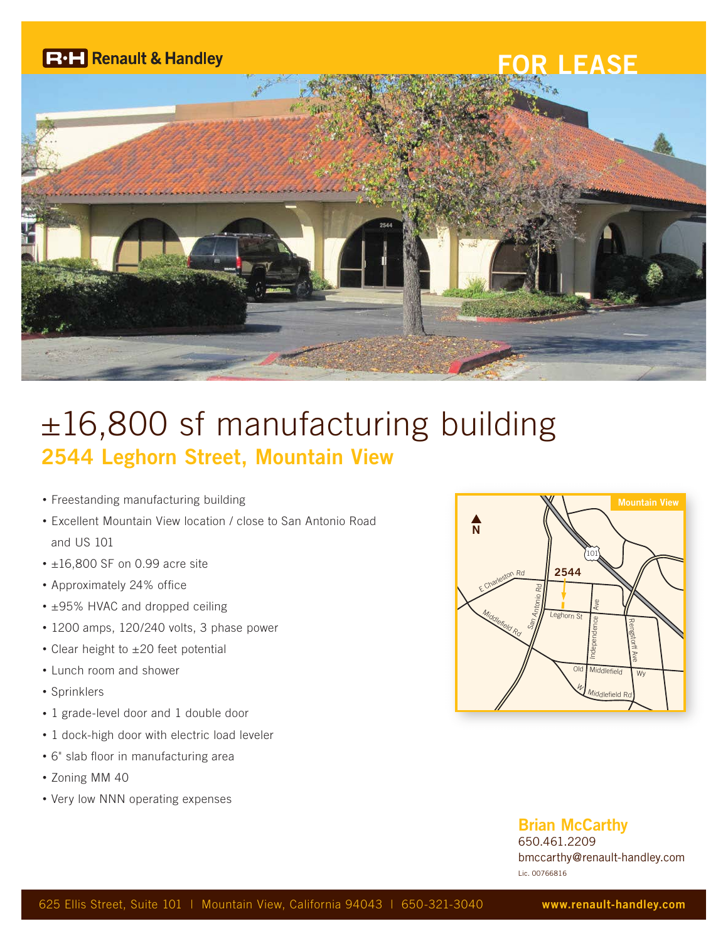

# ±16,800 sf manufacturing building **2544 Leghorn Street, Mountain View**

- Freestanding manufacturing building
- Excellent Mountain View location / close to San Antonio Road and US 101
- $\cdot$  ±16,800 SF on 0.99 acre site
- Approximately 24% office
- ±95% HVAC and dropped ceiling
- 1200 amps, 120/240 volts, 3 phase power
- Clear height to ±20 feet potential
- Lunch room and shower
- Sprinklers
- 1 grade-level door and 1 double door
- 1 dock-high door with electric load leveler
- 6" slab floor in manufacturing area
- Zoning MM 40
- Very low NNN operating expenses



#### **Brian McCarthy**

650.461.2209 bmccarthy@renault-handley.com Lic. 00766816